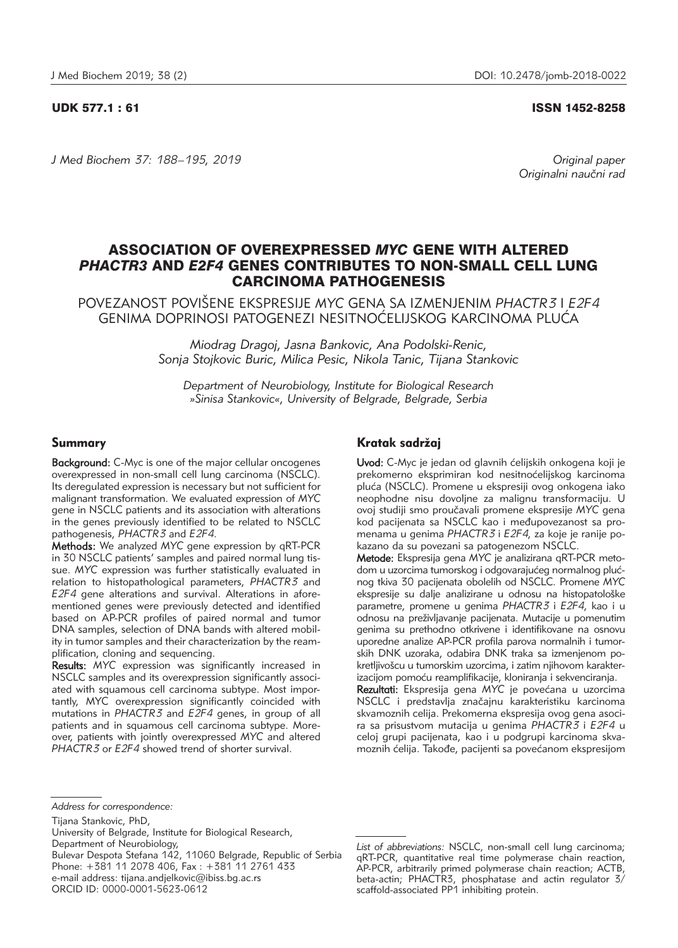## UDK 577.1 : 61 ISSN 1452-8258

*J Med Biochem 37: 188–195, 2019 Original paper*

Originalni naučni rad

# ASSOCIATION OF OVEREXPRESSED *MYC* GENE WITH ALTERED *PHACTR3* AND *E2F4* GENES CONTRIBUTES TO NON-SMALL CELL LUNG CARCINOMA PATHOGENESIS

POVEZANOST POVI[ENE EKSPRESIJE *MYC* GENA SA IZMENJENIM *PHACTR3* I *E2F4* GENIMA DOPRINOSI PATOGENEZI NESITNOĆELIJSKOG KARCINOMA PLUĆA

> *Miodrag Dragoj, Jasna Bankovic, Ana Podolski-Renic, Sonja Stojkovic Buric, Milica Pesic, Nikola Tanic, Tijana Stankovic*

*Department of Neurobiology, Institute for Biological Research »Sinisa Stankovic«, University of Belgrade, Belgrade, Serbia*

# Summary

Background: C-Myc is one of the major cellular oncogenes overexpressed in non-small cell lung carcinoma (NSCLC). Its deregulated expression is necessary but not sufficient for malignant transformation. We evaluated expression of *MYC* gene in NSCLC patients and its association with alterations in the genes previously identified to be related to NSCLC pathogenesis, *PHACTR3* and *E2F4*.

Methods: We analyzed *MYC* gene expression by qRT-PCR in 30 NSCLC patients' samples and paired normal lung tissue. *MYC* expression was further statistically evaluated in relation to histopathological parameters, *PHACTR3* and *E2F4* gene alterations and survival. Alterations in aforementioned genes were previously detected and identified based on AP-PCR profiles of paired normal and tumor DNA samples, selection of DNA bands with altered mobility in tumor samples and their characterization by the reamplification, cloning and sequencing.

Results: *MYC* expression was significantly increased in NSCLC samples and its overexpression significantly associated with squamous cell carcinoma subtype. Most importantly, MYC overexpression significantly coincided with mutations in *PHACTR3* and *E2F4* genes, in group of all patients and in squamous cell carcinoma subtype. Moreover, patients with jointly overexpressed *MYC* and altered *PHACTR3* or *E2F4* showed trend of shorter survival.

# Kratak sadržaj

Uvod: C-Myc je jedan od glavnih ćelijskih onkogena koji je prekomerno eksprimiran kod nesitnoćelijskog karcinoma plu}a (NSCLC). Promene u ekspresiji ovog onkogena iako neophodne nisu dovoljne za malignu transformaciju. U ovoj studiji smo proučavali promene ekspresije MYC gena kod pacijenata sa NSCLC kao i međupovezanost sa promenama u genima *PHACTR3* i *E2F4,* za koje je ranije po kazano da su povezani sa patogenezom NSCLC.

Metode: Ekspresija gena MYC je analizirana gRT-PCR metodom u uzorcima tumorskog i odgovarajućeg normalnog plućnog tkiva 30 pacijenata obolelih od NSCLC. Promene *MYC* ekspresije su dalje analizirane u odnosu na histopatološke para metre, promene u genima *PHACTR3* i *E2F4*, kao i u odnosu na pre`ivljavanje pacijenata. Mutacije u pomenutim genima su prethodno otkrivene i identifikovane na osnovu uporedne analize AP-PCR profila parova normalnih i tumorskih DNK uzoraka, odabira DNK traka sa izmenjenom pokretljivošcu u tumorskim uzorcima, i zatim njihovom karakterizacijom pomoću reamplifikacije, kloniranja i sekvenciranja.

Rezultati: Ekspresija gena MYC je povećana u uzorcima NSCLC i predstavlja značajnu karakteristiku karcinoma skva moznih celija. Prekomerna ekspresija ovog gena asocira sa prisustvom mutacija u genima *PHACTR3* i *E2F4* u celoj grupi pacijenata, kao i u podgrupi karcinoma skvamoznih ćelija. Takođe, pacijenti sa povećanom ekspresijom

Bulevar Despota Stefana 142, 11060 Belgrade, Republic of Serbia Phone: +381 11 2078 406, Fax : +381 11 2761 433 e-mail address: tijana.andjelkovic@ibiss.bg.ac.rs

ORCID ID: 0000-0001-5623-0612

*Address for correspondence:*

Tijana Stankovic, PhD,

University of Belgrade, Institute for Biological Research, Department of Neurobiology,

*List of abbreviations:* NSCLC, non-small cell lung carcinoma; qRT-PCR, quantitative real time polymerase chain reaction, AP-PCR, arbitrarily primed polymerase chain reaction; ACTB, beta-actin; PHACTR3, phosphatase and actin regulator 3/ scaffold-associated PP1 inhibiting protein.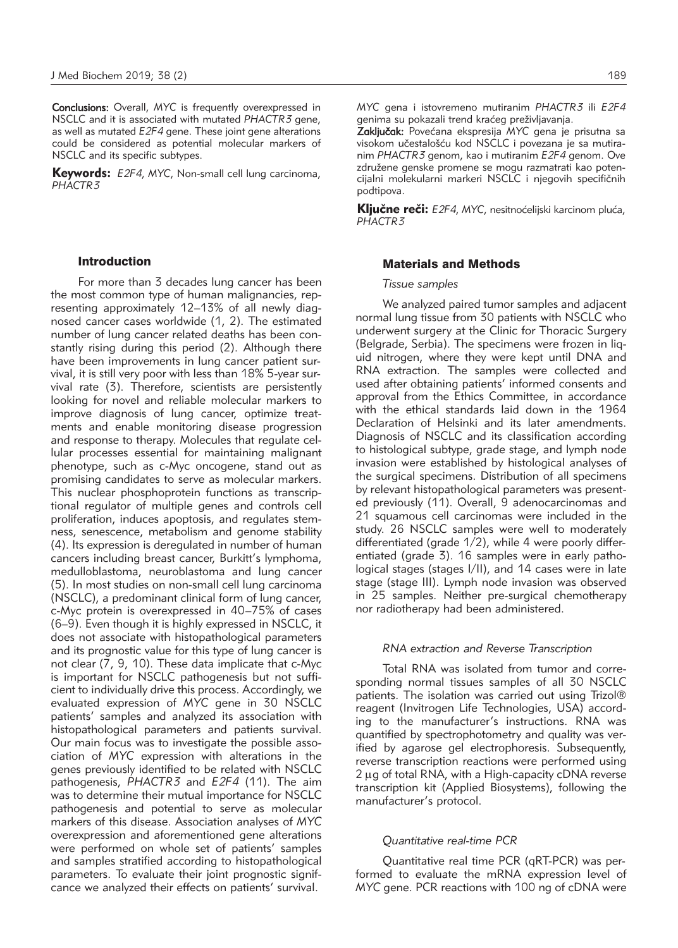Conclusions: Overall, *MYC* is frequently overexpressed in NSCLC and it is associated with mutated *PHACTR3* gene, as well as mutated *E2F4* gene. These joint gene alterations could be considered as potential molecular markers of NSCLC and its specific subtypes.

Keywords: *E2F4*, *MYC*, Non-small cell lung carcinoma, *PHACTR3*

#### Introduction

For more than 3 decades lung cancer has been the most common type of human malignancies, representing approximately 12–13% of all newly diagnosed cancer cases worldwide (1, 2). The estimated number of lung cancer related deaths has been constantly rising during this period (2). Although there have been improvements in lung cancer patient survival, it is still very poor with less than 18% 5-year survival rate (3). Therefore, scientists are persistently looking for novel and reliable molecular markers to improve diagnosis of lung cancer, optimize treatments and enable monitoring disease progression and response to therapy. Molecules that regulate cellular processes essential for maintaining malignant phenotype, such as c-Myc oncogene, stand out as promising candidates to serve as molecular markers. This nuclear phosphoprotein functions as transcriptional regulator of multiple genes and controls cell proliferation, induces apoptosis, and regulates stemness, senescence, metabolism and genome stability (4). Its expression is deregulated in number of human cancers including breast cancer, Burkitt's lymphoma, medulloblastoma, neuroblastoma and lung cancer (5). In most studies on non-small cell lung carcinoma (NSCLC), a predominant clinical form of lung cancer, c-Myc protein is overexpressed in 40–75% of cases (6–9). Even though it is highly expressed in NSCLC, it does not associate with histopathological parameters and its prognostic value for this type of lung cancer is not clear (7, 9, 10). These data implicate that c-Myc is important for NSCLC pathogenesis but not sufficient to individually drive this process. Accordingly, we evaluated expression of *MYC* gene in 30 NSCLC patients' samples and analyzed its association with histopathological parameters and patients survival. Our main focus was to investigate the possible association of *MYC* expression with alterations in the genes previously identified to be related with NSCLC pathogenesis, *PHACTR3* and *E2F4* (11). The aim was to determine their mutual importance for NSCLC pathogenesis and potential to serve as molecular markers of this disease. Association analyses of *MYC* overexpression and aforementioned gene alterations were performed on whole set of patients' samples and samples stratified according to histopathological parameters. To evaluate their joint prognostic signifcance we analyzed their effects on patients' survival.

*MYC* gena i istovremeno mutiranim *PHACTR3* ili *E2F4* genima su pokazali trend kraćeg preživljavanja.

Zaključak: Povećana ekspresija MYC gena je prisutna sa visokom učestalošću kod NSCLC i povezana je sa mutiranim *PHACTR3* genom, kao i mutiranim *E2F4* genom. Ove združene genske promene se mogu razmatrati kao potencijalni molekularni markeri NSCLC i njegovih specifičnih podtipova.

Ključne reči: *E2F4*, *MYC*, nesitnoćelijski karcinom pluća, *PHACTR3*

## Materials and Methods

## *Tissue samples*

We analyzed paired tumor samples and adjacent normal lung tissue from 30 patients with NSCLC who underwent surgery at the Clinic for Thoracic Surgery (Belgrade, Serbia). The specimens were frozen in liquid nitrogen, where they were kept until DNA and RNA extraction. The samples were collected and used after obtaining patients' informed consents and approval from the Ethics Committee, in accordance with the ethical standards laid down in the 1964 Declaration of Helsinki and its later amendments. Diagnosis of NSCLC and its classification according to histological subtype, grade stage, and lymph node invasion were established by histological analyses of the surgical specimens. Distribution of all specimens by relevant histopathological parameters was presented previously (11). Overall, 9 adenocarcinomas and 21 squamous cell carcinomas were included in the study. 26 NSCLC samples were well to moderately differentiated (grade 1/2), while 4 were poorly differentiated (grade 3). 16 samples were in early pathological stages (stages I/II), and 14 cases were in late stage (stage III). Lymph node invasion was observed in 25 samples. Neither pre-surgical chemotherapy nor radiotherapy had been administered.

#### *RNA extraction and Reverse Transcription*

Total RNA was isolated from tumor and corresponding normal tissues samples of all 30 NSCLC patients. The isolation was carried out using Trizol® reagent (Invitrogen Life Technologies, USA) according to the manufacturer's instructions. RNA was quantified by spectrophotometry and quality was verified by agarose gel electrophoresis. Subsequently, reverse transcription reactions were performed using  $2 \mu$ g of total RNA, with a High-capacity cDNA reverse transcription kit (Applied Biosystems), following the manufacturer's protocol.

#### *Quantitative real-time PCR*

Quantitative real time PCR (qRT-PCR) was performed to evaluate the mRNA expression level of *MYC* gene. PCR reactions with 100 ng of cDNA were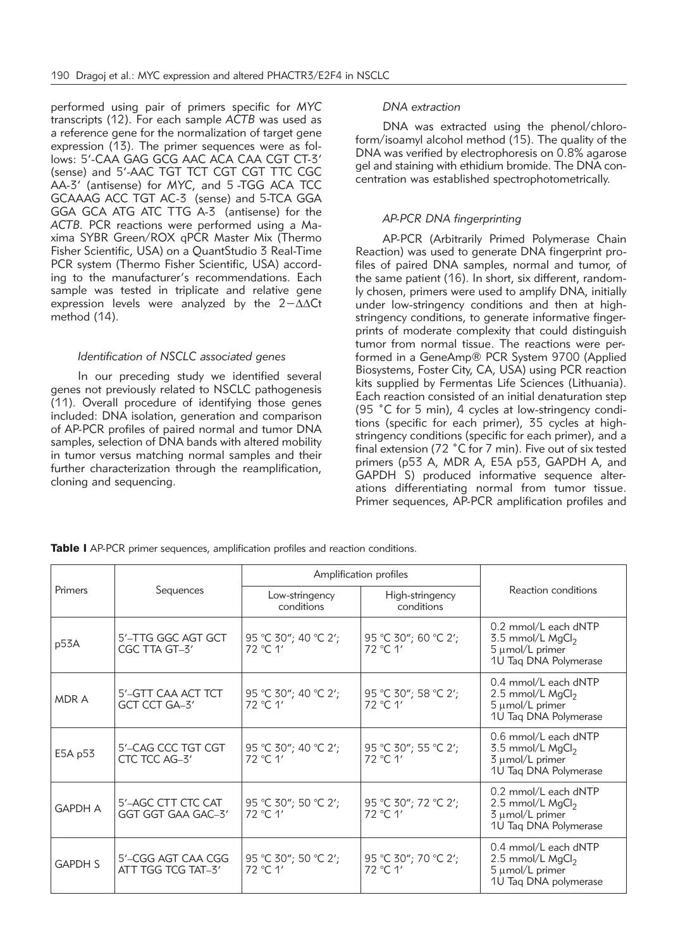performed using pair of primers specific for *MYC* transcripts (12). For each sample *ACTB* was used as a reference gene for the normalization of target gene expression (13). The primer sequences were as follows: 5'-CAA GAG GCG AAC ACA CAA CGT CT-3' (sense) and 5'-AAC TGT TCT CGT CGT TTC CGC AA-3' (antisense) for *MYC*, and 5 -TGG ACA TCC GCAAAG ACC TGT AC-3 (sense) and 5-TCA GGA GGA GCA ATG ATC TTG A-3 (antisense) for the ACTB. PCR reactions were performed using a Maxima SYBR Green/ROX qPCR Master Mix (Thermo Fisher Scientific, USA) on a QuantStudio 3 Real-Time PCR system (Thermo Fisher Scientific, USA) according to the manufacturer's recommendations. Each sample was tested in triplicate and relative gene expression levels were analyzed by the 2-∆∆Ct method (14).

# *Identification of NSCLC associated genes*

In our preceding study we identified several genes not previously related to NSCLC pathogenesis (11). Overall procedure of identifying those genes included: DNA isolation, generation and comparison of AP-PCR profiles of paired normal and tumor DNA samples, selection of DNA bands with altered mobility in tumor versus matching normal samples and their further characterization through the reamplification, cloning and sequencing.

# *DNA extraction*

DNA was extracted using the phenol/chloroform/isoamyl alcohol method (15). The quality of the DNA was verified by electrophoresis on 0.8% agarose gel and staining with ethidium bromide. The DNA concentration was established spectrophotometrically.

# *AP-PCR DNA fingerprinting*

AP-PCR (Arbitrarily Primed Polymerase Chain Reaction) was used to generate DNA fingerprint profiles of paired DNA samples, normal and tumor, of the same patient (16). In short, six different, randomly chosen, primers were used to amplify DNA, initially under low-stringency conditions and then at highstringency conditions, to generate informative fingerprints of moderate complexity that could distinguish tumor from normal tissue. The reactions were performed in a GeneAmp® PCR System 9700 (Applied Biosystems, Foster City, CA, USA) using PCR reaction kits supplied by Fermentas Life Sciences (Lithuania). Each reaction consisted of an initial denaturation step (95 ˚C for 5 min), 4 cycles at low-stringency conditions (specific for each primer), 35 cycles at highstringency conditions (specific for each primer), and a final extension (72 ˚C for 7 min). Five out of six tested primers (p53 A, MDR A, E5A p53, GAPDH A, and GAPDH S) produced informative sequence alterations differentiating normal from tumor tissue. Primer sequences, AP-PCR amplification profiles and

| Primers        |                                          | Amplification profiles           |                                  |                                                                                                    |
|----------------|------------------------------------------|----------------------------------|----------------------------------|----------------------------------------------------------------------------------------------------|
|                | Sequences                                | Low-stringency<br>conditions     | High-stringency<br>conditions    | Reaction conditions                                                                                |
| p53A           | 5'-TTG GGC AGT GCT<br>CGC TTA GT-3'      | 95 °C 30"; 40 °C 2';<br>72 °C 1' | 95 °C 30"; 60 °C 2';<br>72 °C 1' | 0.2 mmol/L each dNTP<br>$3.5$ mmol/L MgCl <sub>2</sub><br>5 µmol/L primer<br>1U Taq DNA Polymerase |
| MDR A          | 5'-GTT CAA ACT TCT<br>GCT CCT GA-3'      | 95 °C 30"; 40 °C 2';<br>72 °C 1' | 95 °C 30"; 58 °C 2';<br>72 °C 1' | 0.4 mmol/L each dNTP<br>2.5 mmol/L $MgCl2$<br>5 µmol/L primer<br>1U Taq DNA Polymerase             |
| E5A p53        | 5'-CAG CCC TGT CGT<br>CTC TCC AG-3'      | 95 °C 30"; 40 °C 2';<br>72 °C.1' | 95 °C 30"; 55 °C 2';<br>72 °C 1' | 0.6 mmol/L each dNTP<br>3.5 mmol/L $MgCl2$<br>3 µmol/L primer<br>1U Taq DNA Polymerase             |
| <b>GAPDH A</b> | 5'-AGC CTT CTC CAT<br>GGT GGT GAA GAC-3' | 95 °C 30"; 50 °C 2';<br>72 °C 1' | 95 °C 30"; 72 °C 2';<br>72 °C 1' | 0.2 mmol/L each dNTP<br>2.5 mmol/L MgCl <sub>2</sub><br>3 µmol/L primer<br>1U Taq DNA Polymerase   |
| <b>GAPDH S</b> | 5'-CGG AGT CAA CGG<br>ATT TGG TCG TAT-3' | 95 °C 30"; 50 °C 2';<br>72 °C 1' | 95 °C 30"; 70 °C 2';<br>72 °C 1' | 0.4 mmol/L each dNTP<br>2.5 mmol/L $MgCl2$<br>5 µmol/L primer<br>1U Taq DNA polymerase             |

**Table I** AP-PCR primer sequences, amplification profiles and reaction conditions.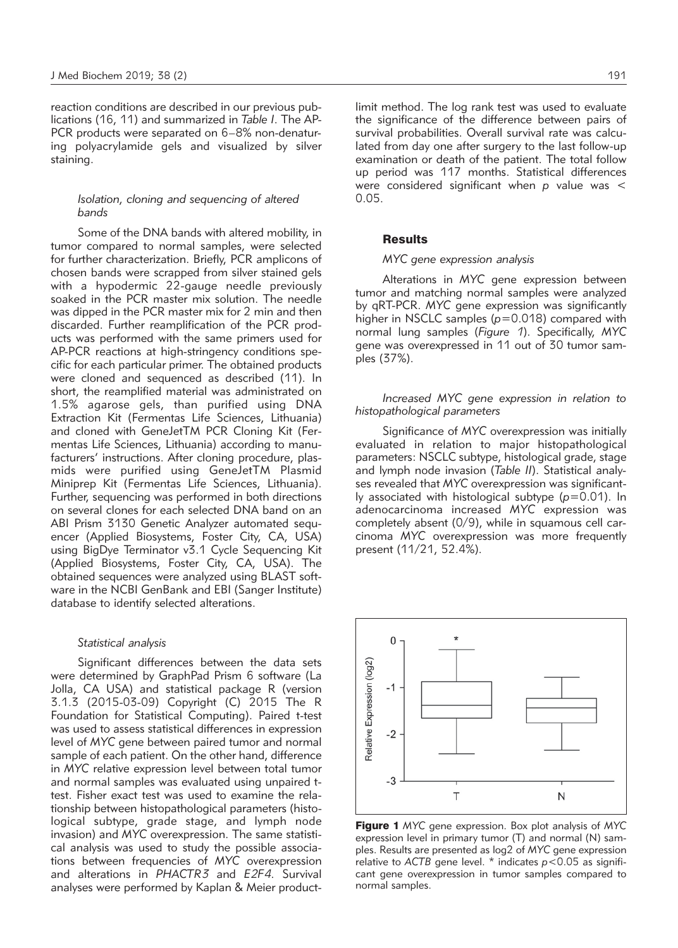reaction conditions are described in our previous publications (16, 11) and summarized in *Table I*. The AP-PCR products were separated on 6–8% non-denaturing polyacrylamide gels and visualized by silver staining.

# *Isolation, cloning and sequencing of altered bands*

Some of the DNA bands with altered mobility, in tumor compared to normal samples, were selected for further characterization. Briefly, PCR amplicons of chosen bands were scrapped from silver stained gels with a hypodermic 22-gauge needle previously soaked in the PCR master mix solution. The needle was dipped in the PCR master mix for 2 min and then discarded. Further reamplification of the PCR products was performed with the same primers used for AP-PCR reactions at high-stringency conditions specific for each particular primer. The obtained products were cloned and sequenced as described (11). In short, the reamplified material was administrated on 1.5% agarose gels, than purified using DNA Extraction Kit (Fermentas Life Sciences, Lithuania) and cloned with GeneJetTM PCR Cloning Kit (Fermentas Life Sciences, Lithuania) according to manufacturers' instructions. After cloning procedure, plasmids were purified using GeneJetTM Plasmid Miniprep Kit (Fermentas Life Sciences, Lithuania). Further, sequencing was performed in both directions on several clones for each selected DNA band on an ABI Prism 3130 Genetic Analyzer automated sequencer (Applied Biosystems, Foster City, CA, USA) using BigDye Terminator v3.1 Cycle Sequencing Kit (Applied Biosystems, Foster City, CA, USA). The obtained sequences were analyzed using BLAST software in the NCBI GenBank and EBI (Sanger Institute) database to identify selected alterations.

## *Statistical analysis*

Significant differences between the data sets were determined by GraphPad Prism 6 software (La Jolla, CA USA) and statistical package R (version 3.1.3 (2015-03-09) Copyright (C) 2015 The R Foundation for Statistical Computing). Paired t-test was used to assess statistical differences in expression level of *MYC* gene between paired tumor and normal sample of each patient. On the other hand, difference in *MYC* relative expression level between total tumor and normal samples was evaluated using unpaired ttest. Fisher exact test was used to examine the relationship between histopathological parameters (histological subtype, grade stage, and lymph node invasion) and *MYC* overexpression. The same statistical analysis was used to study the possible associations between frequencies of *MYC* overexpression and alterations in *PHACTR3* and *E2F4*. Survival analyses were performed by Kaplan & Meier productlimit method. The log rank test was used to evaluate the significance of the difference between pairs of survival probabilities. Overall survival rate was calculated from day one after surgery to the last follow-up examination or death of the patient. The total follow up period was 117 months. Statistical differences were considered significant when *p* value was < 0.05.

## **Results**

#### *MYC gene expression analysis*

Alterations in *MYC* gene expression between tumor and matching normal samples were analyzed by qRT-PCR. *MYC* gene expression was significantly higher in NSCLC samples ( $p=0.018$ ) compared with normal lung samples (*Figure 1*). Specifically, *MYC* gene was overexpressed in 11 out of 30 tumor samples (37%).

*Increased MYC gene expression in relation to histopathological parameters* 

Significance of *MYC* overexpression was initially evaluated in relation to major histopathological parameters: NSCLC subtype, histological grade, stage and lymph node invasion (*Table II*). Statistical analyses revealed that *MYC* overexpression was significantly associated with histological subtype (*p*=0.01). In adenocarcinoma increased *MYC* expression was completely absent (0/9), while in squamous cell carcinoma *MYC* overexpression was more frequently present (11/21, 52.4%).



Figure 1 *MYC* gene expression. Box plot analysis of *MYC* expression level in primary tumor (T) and normal (N) samples. Results are presented as log2 of *MYC* gene expression relative to *ACTB* gene level. \* indicates *p*<0.05 as significant gene overexpression in tumor samples compared to normal samples.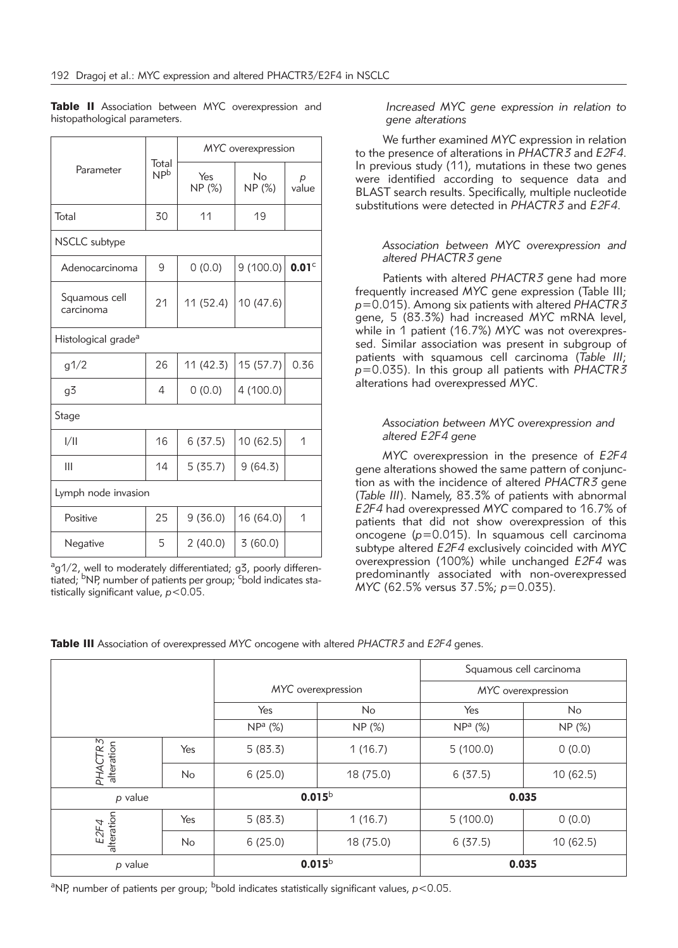|                                 | Total<br>$\mathsf{NP}^\mathsf{b}$ | MYC overexpression |              |                   |  |  |  |  |
|---------------------------------|-----------------------------------|--------------------|--------------|-------------------|--|--|--|--|
| Parameter                       |                                   | Yes<br>NP (%)      | No<br>NP (%) | р<br>value        |  |  |  |  |
| Total                           | 30                                | 11                 | 19           |                   |  |  |  |  |
| NSCLC subtype                   |                                   |                    |              |                   |  |  |  |  |
| Adenocarcinoma                  | 9                                 | 0(0.0)             | 9(100.0)     | 0.01 <sup>c</sup> |  |  |  |  |
| Squamous cell<br>carcinoma      | 21                                | 11 (52.4)          | 10 (47.6)    |                   |  |  |  |  |
| Histological grade <sup>a</sup> |                                   |                    |              |                   |  |  |  |  |
| g1/2                            | 26                                | 11 (42.3)          | 15 (57.7)    | 0.36              |  |  |  |  |
| g3                              | 4                                 | 0(0.0)             | 4 (100.0)    |                   |  |  |  |  |
| Stage                           |                                   |                    |              |                   |  |  |  |  |
| 1/11                            | 16                                | 6(37.5)            | 10 (62.5)    | 1                 |  |  |  |  |
| Ш                               | 14                                | 5(35.7)            | 9(64.3)      |                   |  |  |  |  |
| Lymph node invasion             |                                   |                    |              |                   |  |  |  |  |
| Positive                        | 25                                | 9(36.0)            | 16 (64.0)    | 1                 |  |  |  |  |
| Negative                        | 5                                 | 2(40.0)            | 3(60.0)      |                   |  |  |  |  |

Table II Association between MYC overexpression and histopathological parameters.

<sup>a</sup>g1/2, well to moderately differentiated; g3, poorly differentiated; <sup>b</sup>NP, number of patients per group; <sup>c</sup>bold indicates statistically significant value, *p*<0.05.

*Increased MYC gene expression in relation to gene alterations*

We further examined *MYC* expression in relation to the presence of alterations in *PHACTR3* and *E2F4*. In previous study (11), mutations in these two genes were identified according to sequence data and BLAST search results. Specifically, multiple nucleotide substitutions were detected in *PHACTR3* and *E2F4*.

# *Association between MYC overexpression and altered PHACTR3 gene*

Patients with altered *PHACTR3* gene had more frequently increased *MYC* gene expression (Table III; *p*=0.015). Among six patients with altered *PHACTR3* gene, 5 (83.3%) had increased *MYC* mRNA level, while in 1 patient (16.7%) MYC was not overexpressed. Similar association was present in subgroup of patients with squamous cell carcinoma (*Table III*; *p*=0.035). In this group all patients with *PHACTR3* alterations had overexpressed *MYC*.

# *Association between MYC overexpression and altered E2F4 gene*

*MYC* overexpression in the presence of *E2F4* gene alterations showed the same pattern of conjunction as with the incidence of altered *PHACTR3* gene (*Table III*). Namely, 83.3% of patients with abnormal *E2F4* had overexpressed *MYC* compared to 16.7% of patients that did not show overexpression of this oncogene (*p*=0.015). In squamous cell carcinoma subtype altered *E2F4* exclusively coincided with *MYC* overexpression (100%) while unchanged *E2F4* was predominantly associated with non-overexpressed *MYC* (62.5% versus 37.5%; *p*=0.035).

|                       |           |                    |           | Squamous cell carcinoma |                |
|-----------------------|-----------|--------------------|-----------|-------------------------|----------------|
|                       |           | MYC overexpression |           | MYC overexpression      |                |
|                       |           | Yes                | <b>No</b> | Yes                     | N <sub>o</sub> |
|                       |           | $NPa$ (%)          | NP (%)    | $NPa$ (%)               | NP (%)         |
| PHACTR3<br>alteration | Yes       | 5(83.3)            | 1(16.7)   | 5(100.0)                | 0(0.0)         |
|                       | <b>No</b> | 6(25.0)            | 18 (75.0) | 6(37.5)                 | 10(62.5)       |
| p value               |           | $0.015^{\rm b}$    |           | 0.035                   |                |
| E2F4                  | Yes       | 5(83.3)            | 1(16.7)   | 5(100.0)                | 0(0.0)         |
| alteration            | <b>No</b> | 6(25.0)            | 18 (75.0) | 6(37.5)                 | 10(62.5)       |
| p value               |           | $0.015^{\rm b}$    |           | 0.035                   |                |

Table III Association of overexpressed *MYC* oncogene with altered *PHACTR3* and *E2F4* genes.

<sup>a</sup>NP, number of patients per group; <sup>b</sup>bold indicates statistically significant values, *p*<0.05.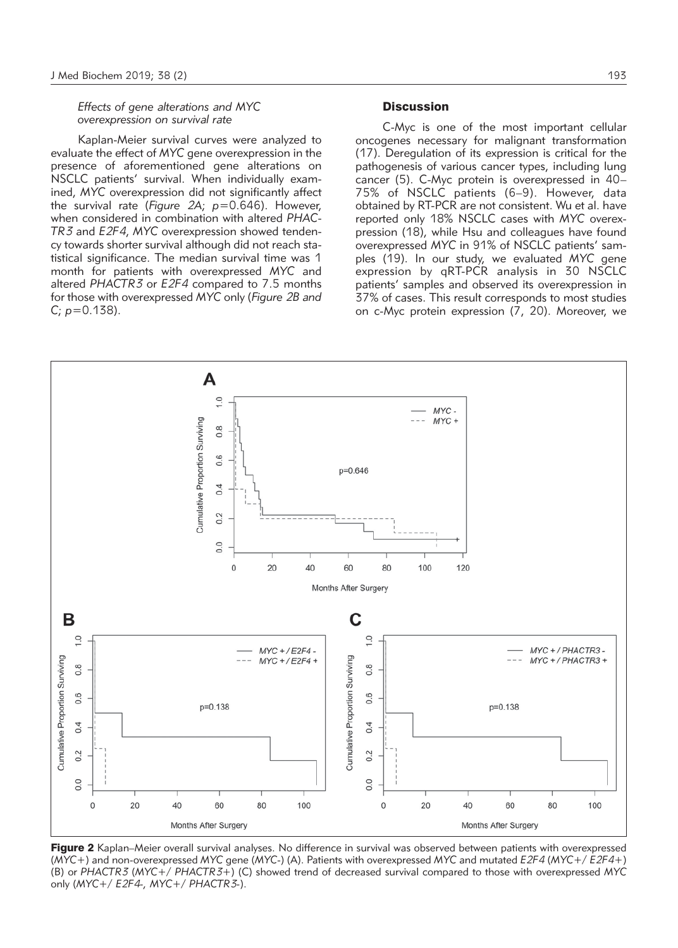*Effects of gene alterations and MYC overexpression on survival rate*

Kaplan-Meier survival curves were analyzed to evaluate the effect of *MYC* gene overexpression in the presence of aforementioned gene alterations on NSCLC patients' survival. When individually examined, *MYC* overexpression did not significantly affect the survival rate (*Figure 2A*; *p*=0.646). However, when considered in combination with altered *PHAC-TR3* and *E2F4*, *MYC* overexpression showed tendency towards shorter survival although did not reach statistical significance. The median survival time was 1 month for patients with overexpressed *MYC* and altered *PHACTR3* or *E2F4* compared to 7.5 months for those with overexpressed *MYC* only (*Figure 2B and C*; *p*=0.138).

## **Discussion**

C-Myc is one of the most important cellular oncogenes necessary for malignant transformation (17). Deregulation of its expression is critical for the pathogenesis of various cancer types, including lung cancer (5). C-Myc protein is overexpressed in 40– 75% of NSCLC patients (6–9). However, data obtained by RT-PCR are not consistent. Wu et al. have reported only 18% NSCLC cases with *MYC* overexpression (18), while Hsu and colleagues have found overexpressed *MYC* in 91% of NSCLC patients' samples (19). In our study, we evaluated *MYC* gene expression by qRT-PCR analysis in 30 NSCLC patients' samples and observed its overexpression in 37% of cases. This result corresponds to most studies on c-Myc protein expression (7, 20). Moreover, we



Figure 2 Kaplan–Meier overall survival analyses. No difference in survival was observed between patients with overexpressed (*MYC*+) and non-overexpressed *MYC* gene (*MYC*-) (A). Patients with overexpressed *MYC* and mutated *E2F4* (*MYC*+/ *E2F4+*) (B) or *PHACTR3* (*MYC*+/ *PHACTR3+*) (C) showed trend of decreased survival compared to those with overexpressed *MYC* only (*MYC*+/ *E2F4-, MYC*+/ *PHACTR3-*).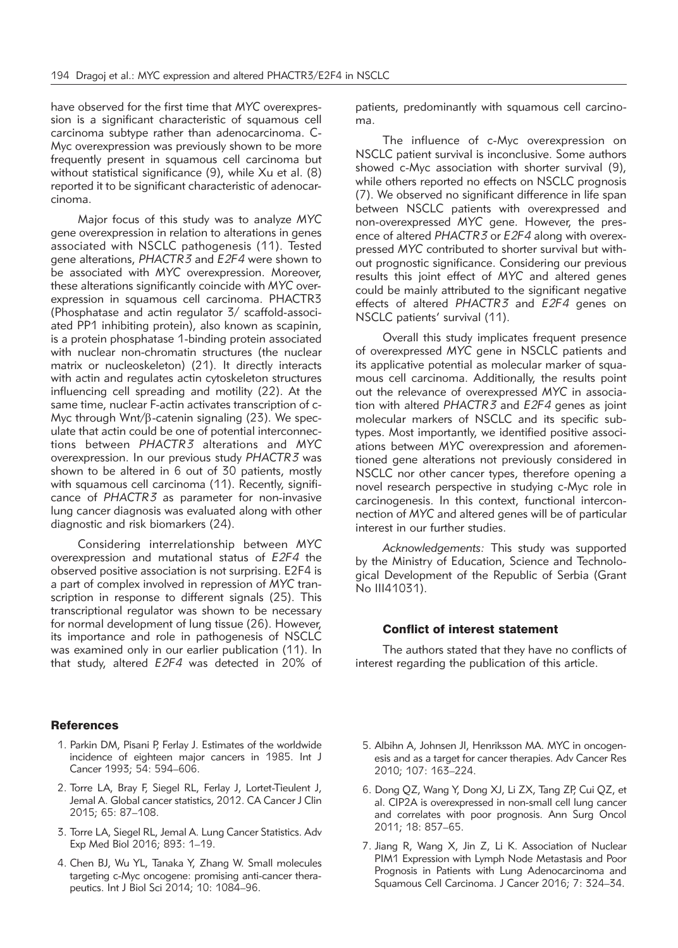have observed for the first time that *MYC* overexpression is a significant characteristic of squamous cell carcinoma subtype rather than adenocarcinoma. C-Myc overexpression was previously shown to be more frequently present in squamous cell carcinoma but without statistical significance (9), while Xu et al. (8) reported it to be significant characteristic of adenocarcinoma.

Major focus of this study was to analyze *MYC* gene overexpression in relation to alterations in genes associated with NSCLC pathogenesis (11). Tested gene alterations, *PHACTR3* and *E2F4* were shown to be associated with *MYC* overexpression. Moreover, these alterations significantly coincide with *MYC* overexpression in squamous cell carcinoma. PHACTR3 (Phosphatase and actin regulator 3/ scaffold-associated PP1 inhibiting protein), also known as scapinin, is a protein phosphatase 1-binding protein associated with nuclear non-chromatin structures (the nuclear matrix or nucleoskeleton) (21). It directly interacts with actin and regulates actin cytoskeleton structures influencing cell spreading and motility (22). At the same time, nuclear F-actin activates transcription of c-Myc through  $Wnt/\beta$ -catenin signaling (23). We speculate that actin could be one of potential interconnections between *PHACTR3* alterations and *MYC* overexpression. In our previous study *PHACTR3* was shown to be altered in 6 out of 30 patients, mostly with squamous cell carcinoma (11). Recently, significance of *PHACTR3* as parameter for non-invasive lung cancer diagnosis was evaluated along with other diagnostic and risk biomarkers (24).

Considering interrelationship between *MYC* overexpression and mutational status of *E2F4* the observed positive association is not surprising. E2F4 is a part of complex involved in repression of *MYC* transcription in response to different signals (25). This transcriptional regulator was shown to be necessary for normal development of lung tissue (26). However, its importance and role in pathogenesis of NSCLC was examined only in our earlier publication (11). In that study, altered *E2F4* was detected in 20% of

## **References**

- 1. Parkin DM, Pisani P, Ferlay J. Estimates of the worldwide incidence of eighteen major cancers in 1985. Int J Cancer 1993; 54: 594–606.
- 2. Torre LA, Bray F, Siegel RL, Ferlay J, Lortet-Tieulent J, Jemal A. Global cancer statistics, 2012. CA Cancer J Clin 2015; 65: 87–108.
- 3. Torre LA, Siegel RL, Jemal A. Lung Cancer Statistics. Adv Exp Med Biol 2016; 893: 1–19.
- 4. Chen BJ, Wu YL, Tanaka Y, Zhang W. Small molecules targeting c-Myc oncogene: promising anti-cancer therapeutics. Int J Biol Sci 2014; 10: 1084–96.

patients, predominantly with squamous cell carcinoma.

The influence of c-Myc overexpression on NSCLC patient survival is inconclusive. Some authors showed c-Myc association with shorter survival (9), while others reported no effects on NSCLC prognosis (7). We observed no significant difference in life span between NSCLC patients with overexpressed and non-overexpressed *MYC* gene. However, the presence of altered *PHACTR3* or *E2F4* along with overexpressed *MYC* contributed to shorter survival but without prognostic significance. Considering our previous results this joint effect of *MYC* and altered genes could be mainly attributed to the significant negative effects of altered *PHACTR3* and *E2F4* genes on NSCLC patients' survival (11).

Overall this study implicates frequent presence of overexpressed *MYC* gene in NSCLC patients and its applicative potential as molecular marker of squamous cell carcinoma. Additionally, the results point out the relevance of overexpressed *MYC* in association with altered *PHACTR3* and *E2F4* genes as joint molecular markers of NSCLC and its specific subtypes. Most importantly, we identified positive associations between *MYC* overexpression and aforementioned gene alterations not previously considered in NSCLC nor other cancer types, therefore opening a novel research perspective in studying c-Myc role in carcinogenesis. In this context, functional interconnection of *MYC* and altered genes will be of particular interest in our further studies.

*Acknowledgements:* This study was supported by the Ministry of Education, Science and Technological Development of the Republic of Serbia (Grant No III41031).

## Conflict of interest statement

The authors stated that they have no conflicts of interest regarding the publication of this article.

- 5. Albihn A, Johnsen JI, Henriksson MA. MYC in oncogenesis and as a target for cancer therapies. Adv Cancer Res 2010; 107: 163–224.
- 6. Dong QZ, Wang Y, Dong XJ, Li ZX, Tang ZP, Cui QZ, et al. CIP2A is overexpressed in non-small cell lung cancer and correlates with poor prognosis. Ann Surg Oncol 2011; 18: 857–65.
- 7. Jiang R, Wang X, Jin Z, Li K. Association of Nuclear PIM1 Expression with Lymph Node Metastasis and Poor Prognosis in Patients with Lung Adenocarcinoma and Squamous Cell Carcinoma. J Cancer 2016; 7: 324–34.